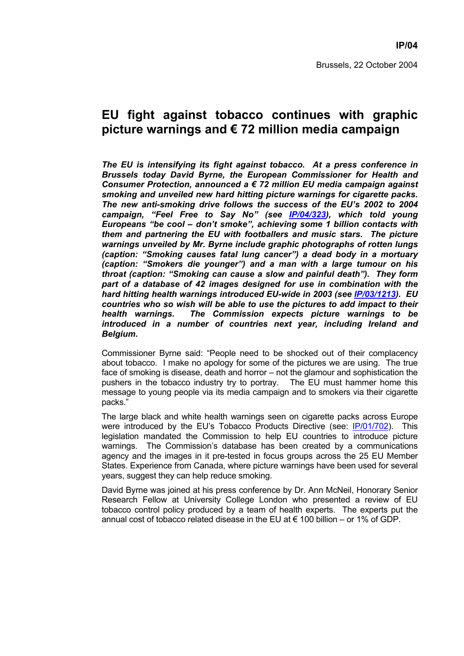## **EU fight against tobacco continues with graphic picture warnings and € 72 million media campaign**

*The EU is intensifying its fight against tobacco. At a press conference in Brussels today David Byrne, the European Commissioner for Health and Consumer Protection, announced a € 72 million EU media campaign against smoking and unveiled new hard hitting picture warnings for cigarette packs. The new anti-smoking drive follows the success of the EU's 2002 to 2004 campaign, "Feel Free to Say No" (see IP/04/323), which told young Europeans "be cool – don't smoke", achieving some 1 billion contacts with them and partnering the EU with footballers and music stars. The picture warnings unveiled by Mr. Byrne include graphic photographs of rotten lungs (caption: "Smoking causes fatal lung cancer") a dead body in a mortuary (caption: "Smokers die younger") and a man with a large tumour on his throat (caption: "Smoking can cause a slow and painful death"). They form part of a database of 42 images designed for use in combination with the hard hitting health warnings introduced EU-wide in 2003 (see IP/03/1213). EU countries who so wish will be able to use the pictures to add impact to their health warnings. The Commission expects picture warnings to be introduced in a number of countries next year, including Ireland and Belgium.* 

Commissioner Byrne said: "People need to be shocked out of their complacency about tobacco. I make no apology for some of the pictures we are using. The true face of smoking is disease, death and horror – not the glamour and sophistication the pushers in the tobacco industry try to portray. The EU must hammer home this message to young people via its media campaign and to smokers via their cigarette packs."

The large black and white health warnings seen on cigarette packs across Europe were introduced by the EU's Tobacco Products Directive (see: IP/01/702). This legislation mandated the Commission to help EU countries to introduce picture warnings. The Commission's database has been created by a communications agency and the images in it pre-tested in focus groups across the 25 EU Member States. Experience from Canada, where picture warnings have been used for several years, suggest they can help reduce smoking.

David Byrne was joined at his press conference by Dr. Ann McNeil, Honorary Senior Research Fellow at University College London who presented a review of EU tobacco control policy produced by a team of health experts. The experts put the annual cost of tobacco related disease in the EU at  $\epsilon$  100 billion – or 1% of GDP.